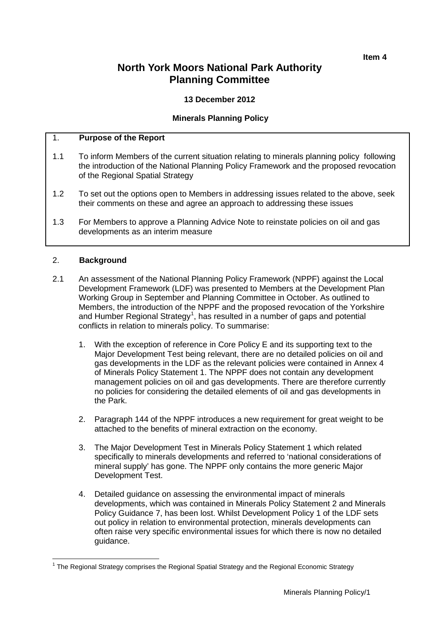# **North York Moors National Park Authority Planning Committee**

# **13 December 2012**

# **Minerals Planning Policy**

# 1. **Purpose of the Report**

- 1.1 To inform Members of the current situation relating to minerals planning policy following the introduction of the National Planning Policy Framework and the proposed revocation of the Regional Spatial Strategy
- 1.2 To set out the options open to Members in addressing issues related to the above, seek their comments on these and agree an approach to addressing these issues
- 1.3 For Members to approve a Planning Advice Note to reinstate policies on oil and gas developments as an interim measure

# 2. **Background**

- 2.1 An assessment of the National Planning Policy Framework (NPPF) against the Local Development Framework (LDF) was presented to Members at the Development Plan Working Group in September and Planning Committee in October. As outlined to Members, the introduction of the NPPF and the proposed revocation of the Yorkshire and Humber Regional Strategy<sup>[1](#page-0-0)</sup>, has resulted in a number of gaps and potential conflicts in relation to minerals policy. To summarise:
	- 1. With the exception of reference in Core Policy E and its supporting text to the Major Development Test being relevant, there are no detailed policies on oil and gas developments in the LDF as the relevant policies were contained in Annex 4 of Minerals Policy Statement 1. The NPPF does not contain any development management policies on oil and gas developments. There are therefore currently no policies for considering the detailed elements of oil and gas developments in the Park.
	- 2. Paragraph 144 of the NPPF introduces a new requirement for great weight to be attached to the benefits of mineral extraction on the economy.
	- 3. The Major Development Test in Minerals Policy Statement 1 which related specifically to minerals developments and referred to 'national considerations of mineral supply' has gone. The NPPF only contains the more generic Major Development Test.
	- 4. Detailed guidance on assessing the environmental impact of minerals developments, which was contained in Minerals Policy Statement 2 and Minerals Policy Guidance 7, has been lost. Whilst Development Policy 1 of the LDF sets out policy in relation to environmental protection, minerals developments can often raise very specific environmental issues for which there is now no detailed guidance.

<span id="page-0-0"></span><sup>&</sup>lt;sup>1</sup> The Regional Strategy comprises the Regional Spatial Strategy and the Regional Economic Strategy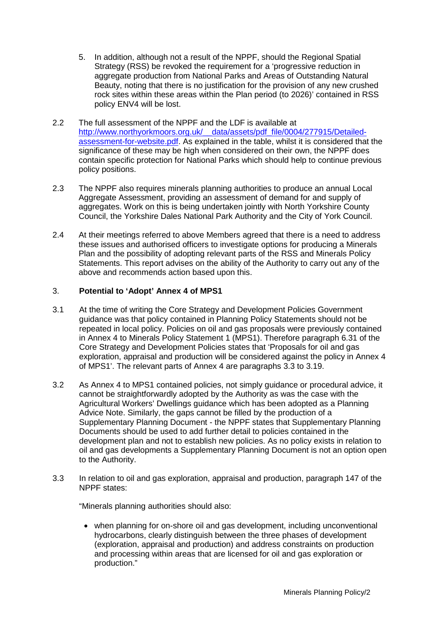- 5. In addition, although not a result of the NPPF, should the Regional Spatial Strategy (RSS) be revoked the requirement for a 'progressive reduction in aggregate production from National Parks and Areas of Outstanding Natural Beauty, noting that there is no justification for the provision of any new crushed rock sites within these areas within the Plan period (to 2026)' contained in RSS policy ENV4 will be lost.
- 2.2 The full assessment of the NPPF and the LDF is available at http://www.northyorkmoors.org.uk/ data/assets/pdf file/0004/277915/Detailed[assessment-for-website.pdf.](http://www.northyorkmoors.org.uk/__data/assets/pdf_file/0004/277915/Detailed-assessment-for-website.pdf) As explained in the table, whilst it is considered that the significance of these may be high when considered on their own, the NPPF does contain specific protection for National Parks which should help to continue previous policy positions.
- 2.3 The NPPF also requires minerals planning authorities to produce an annual Local Aggregate Assessment, providing an assessment of demand for and supply of aggregates. Work on this is being undertaken jointly with North Yorkshire County Council, the Yorkshire Dales National Park Authority and the City of York Council.
- 2.4 At their meetings referred to above Members agreed that there is a need to address these issues and authorised officers to investigate options for producing a Minerals Plan and the possibility of adopting relevant parts of the RSS and Minerals Policy Statements. This report advises on the ability of the Authority to carry out any of the above and recommends action based upon this.

# 3. **Potential to 'Adopt' Annex 4 of MPS1**

- 3.1 At the time of writing the Core Strategy and Development Policies Government guidance was that policy contained in Planning Policy Statements should not be repeated in local policy. Policies on oil and gas proposals were previously contained in Annex 4 to Minerals Policy Statement 1 (MPS1). Therefore paragraph 6.31 of the Core Strategy and Development Policies states that 'Proposals for oil and gas exploration, appraisal and production will be considered against the policy in Annex 4 of MPS1'. The relevant parts of Annex 4 are paragraphs 3.3 to 3.19.
- 3.2 As Annex 4 to MPS1 contained policies, not simply guidance or procedural advice, it cannot be straightforwardly adopted by the Authority as was the case with the Agricultural Workers' Dwellings guidance which has been adopted as a Planning Advice Note. Similarly, the gaps cannot be filled by the production of a Supplementary Planning Document - the NPPF states that Supplementary Planning Documents should be used to add further detail to policies contained in the development plan and not to establish new policies. As no policy exists in relation to oil and gas developments a Supplementary Planning Document is not an option open to the Authority.
- 3.3 In relation to oil and gas exploration, appraisal and production, paragraph 147 of the NPPF states:

"Minerals planning authorities should also:

• when planning for on-shore oil and gas development, including unconventional hydrocarbons, clearly distinguish between the three phases of development (exploration, appraisal and production) and address constraints on production and processing within areas that are licensed for oil and gas exploration or production."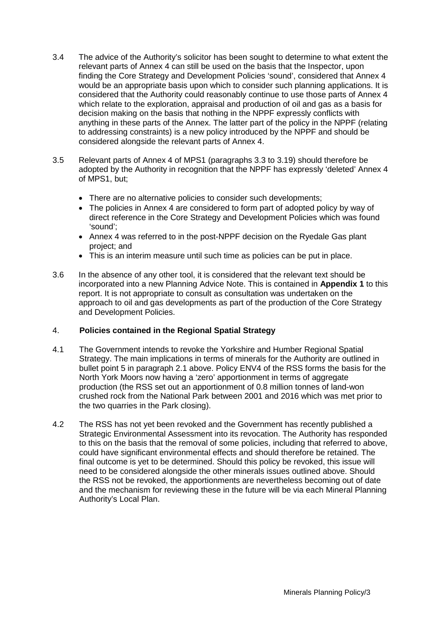- 3.4 The advice of the Authority's solicitor has been sought to determine to what extent the relevant parts of Annex 4 can still be used on the basis that the Inspector, upon finding the Core Strategy and Development Policies 'sound', considered that Annex 4 would be an appropriate basis upon which to consider such planning applications. It is considered that the Authority could reasonably continue to use those parts of Annex 4 which relate to the exploration, appraisal and production of oil and gas as a basis for decision making on the basis that nothing in the NPPF expressly conflicts with anything in these parts of the Annex. The latter part of the policy in the NPPF (relating to addressing constraints) is a new policy introduced by the NPPF and should be considered alongside the relevant parts of Annex 4.
- 3.5 Relevant parts of Annex 4 of MPS1 (paragraphs 3.3 to 3.19) should therefore be adopted by the Authority in recognition that the NPPF has expressly 'deleted' Annex 4 of MPS1, but;
	- There are no alternative policies to consider such developments;
	- The policies in Annex 4 are considered to form part of adopted policy by way of direct reference in the Core Strategy and Development Policies which was found 'sound';
	- Annex 4 was referred to in the post-NPPF decision on the Ryedale Gas plant project; and
	- This is an interim measure until such time as policies can be put in place.
- 3.6 In the absence of any other tool, it is considered that the relevant text should be incorporated into a new Planning Advice Note. This is contained in **Appendix 1** to this report. It is not appropriate to consult as consultation was undertaken on the approach to oil and gas developments as part of the production of the Core Strategy and Development Policies.

# 4. **Policies contained in the Regional Spatial Strategy**

- 4.1 The Government intends to revoke the Yorkshire and Humber Regional Spatial Strategy. The main implications in terms of minerals for the Authority are outlined in bullet point 5 in paragraph 2.1 above. Policy ENV4 of the RSS forms the basis for the North York Moors now having a 'zero' apportionment in terms of aggregate production (the RSS set out an apportionment of 0.8 million tonnes of land-won crushed rock from the National Park between 2001 and 2016 which was met prior to the two quarries in the Park closing).
- 4.2 The RSS has not yet been revoked and the Government has recently published a Strategic Environmental Assessment into its revocation. The Authority has responded to this on the basis that the removal of some policies, including that referred to above, could have significant environmental effects and should therefore be retained. The final outcome is yet to be determined. Should this policy be revoked, this issue will need to be considered alongside the other minerals issues outlined above. Should the RSS not be revoked, the apportionments are nevertheless becoming out of date and the mechanism for reviewing these in the future will be via each Mineral Planning Authority's Local Plan.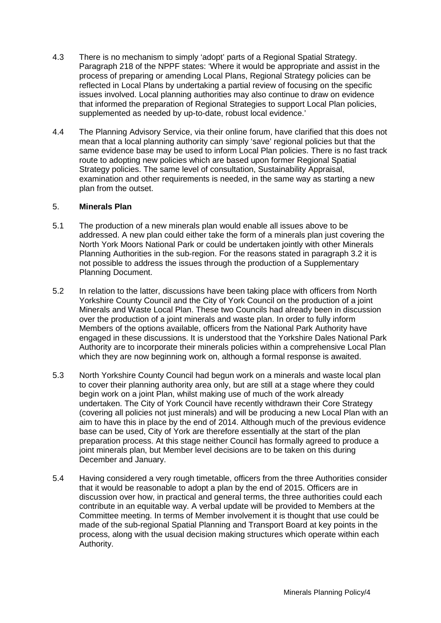- 4.3 There is no mechanism to simply 'adopt' parts of a Regional Spatial Strategy. Paragraph 218 of the NPPF states: 'Where it would be appropriate and assist in the process of preparing or amending Local Plans, Regional Strategy policies can be reflected in Local Plans by undertaking a partial review of focusing on the specific issues involved. Local planning authorities may also continue to draw on evidence that informed the preparation of Regional Strategies to support Local Plan policies, supplemented as needed by up-to-date, robust local evidence.'
- 4.4 The Planning Advisory Service, via their online forum, have clarified that this does not mean that a local planning authority can simply 'save' regional policies but that the same evidence base may be used to inform Local Plan policies. There is no fast track route to adopting new policies which are based upon former Regional Spatial Strategy policies. The same level of consultation, Sustainability Appraisal, examination and other requirements is needed, in the same way as starting a new plan from the outset.

# 5. **Minerals Plan**

- 5.1 The production of a new minerals plan would enable all issues above to be addressed. A new plan could either take the form of a minerals plan just covering the North York Moors National Park or could be undertaken jointly with other Minerals Planning Authorities in the sub-region. For the reasons stated in paragraph 3.2 it is not possible to address the issues through the production of a Supplementary Planning Document.
- 5.2 In relation to the latter, discussions have been taking place with officers from North Yorkshire County Council and the City of York Council on the production of a joint Minerals and Waste Local Plan. These two Councils had already been in discussion over the production of a joint minerals and waste plan. In order to fully inform Members of the options available, officers from the National Park Authority have engaged in these discussions. It is understood that the Yorkshire Dales National Park Authority are to incorporate their minerals policies within a comprehensive Local Plan which they are now beginning work on, although a formal response is awaited.
- 5.3 North Yorkshire County Council had begun work on a minerals and waste local plan to cover their planning authority area only, but are still at a stage where they could begin work on a joint Plan, whilst making use of much of the work already undertaken. The City of York Council have recently withdrawn their Core Strategy (covering all policies not just minerals) and will be producing a new Local Plan with an aim to have this in place by the end of 2014. Although much of the previous evidence base can be used, City of York are therefore essentially at the start of the plan preparation process. At this stage neither Council has formally agreed to produce a joint minerals plan, but Member level decisions are to be taken on this during December and January.
- 5.4 Having considered a very rough timetable, officers from the three Authorities consider that it would be reasonable to adopt a plan by the end of 2015. Officers are in discussion over how, in practical and general terms, the three authorities could each contribute in an equitable way. A verbal update will be provided to Members at the Committee meeting. In terms of Member involvement it is thought that use could be made of the sub-regional Spatial Planning and Transport Board at key points in the process, along with the usual decision making structures which operate within each Authority.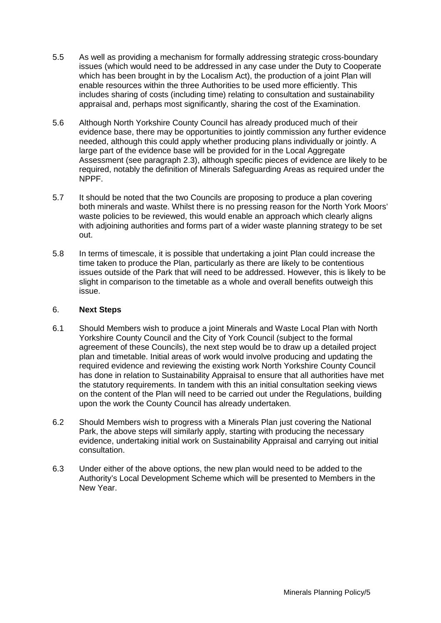- 5.5 As well as providing a mechanism for formally addressing strategic cross-boundary issues (which would need to be addressed in any case under the Duty to Cooperate which has been brought in by the Localism Act), the production of a joint Plan will enable resources within the three Authorities to be used more efficiently. This includes sharing of costs (including time) relating to consultation and sustainability appraisal and, perhaps most significantly, sharing the cost of the Examination.
- 5.6 Although North Yorkshire County Council has already produced much of their evidence base, there may be opportunities to jointly commission any further evidence needed, although this could apply whether producing plans individually or jointly. A large part of the evidence base will be provided for in the Local Aggregate Assessment (see paragraph 2.3), although specific pieces of evidence are likely to be required, notably the definition of Minerals Safeguarding Areas as required under the NPPF.
- 5.7 It should be noted that the two Councils are proposing to produce a plan covering both minerals and waste. Whilst there is no pressing reason for the North York Moors' waste policies to be reviewed, this would enable an approach which clearly aligns with adjoining authorities and forms part of a wider waste planning strategy to be set out.
- 5.8 In terms of timescale, it is possible that undertaking a joint Plan could increase the time taken to produce the Plan, particularly as there are likely to be contentious issues outside of the Park that will need to be addressed. However, this is likely to be slight in comparison to the timetable as a whole and overall benefits outweigh this issue.

# 6. **Next Steps**

- 6.1 Should Members wish to produce a joint Minerals and Waste Local Plan with North Yorkshire County Council and the City of York Council (subject to the formal agreement of these Councils), the next step would be to draw up a detailed project plan and timetable. Initial areas of work would involve producing and updating the required evidence and reviewing the existing work North Yorkshire County Council has done in relation to Sustainability Appraisal to ensure that all authorities have met the statutory requirements. In tandem with this an initial consultation seeking views on the content of the Plan will need to be carried out under the Regulations, building upon the work the County Council has already undertaken.
- 6.2 Should Members wish to progress with a Minerals Plan just covering the National Park, the above steps will similarly apply, starting with producing the necessary evidence, undertaking initial work on Sustainability Appraisal and carrying out initial consultation.
- 6.3 Under either of the above options, the new plan would need to be added to the Authority's Local Development Scheme which will be presented to Members in the New Year.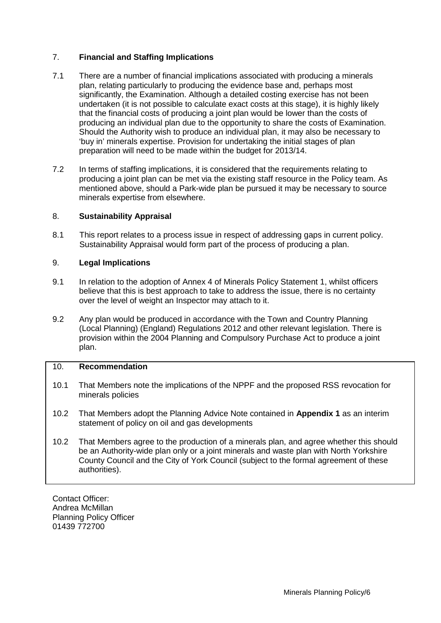# 7. **Financial and Staffing Implications**

- 7.1 There are a number of financial implications associated with producing a minerals plan, relating particularly to producing the evidence base and, perhaps most significantly, the Examination. Although a detailed costing exercise has not been undertaken (it is not possible to calculate exact costs at this stage), it is highly likely that the financial costs of producing a joint plan would be lower than the costs of producing an individual plan due to the opportunity to share the costs of Examination. Should the Authority wish to produce an individual plan, it may also be necessary to 'buy in' minerals expertise. Provision for undertaking the initial stages of plan preparation will need to be made within the budget for 2013/14.
- 7.2 In terms of staffing implications, it is considered that the requirements relating to producing a joint plan can be met via the existing staff resource in the Policy team. As mentioned above, should a Park-wide plan be pursued it may be necessary to source minerals expertise from elsewhere.

# 8. **Sustainability Appraisal**

8.1 This report relates to a process issue in respect of addressing gaps in current policy. Sustainability Appraisal would form part of the process of producing a plan.

# 9. **Legal Implications**

- 9.1 In relation to the adoption of Annex 4 of Minerals Policy Statement 1, whilst officers believe that this is best approach to take to address the issue, there is no certainty over the level of weight an Inspector may attach to it.
- 9.2 Any plan would be produced in accordance with the Town and Country Planning (Local Planning) (England) Regulations 2012 and other relevant legislation. There is provision within the 2004 Planning and Compulsory Purchase Act to produce a joint plan.

### 10. **Recommendation**

- 10.1 That Members note the implications of the NPPF and the proposed RSS revocation for minerals policies
- 10.2 That Members adopt the Planning Advice Note contained in **Appendix 1** as an interim statement of policy on oil and gas developments
- 10.2 That Members agree to the production of a minerals plan, and agree whether this should be an Authority-wide plan only or a joint minerals and waste plan with North Yorkshire County Council and the City of York Council (subject to the formal agreement of these authorities).

Contact Officer: Andrea McMillan Planning Policy Officer 01439 772700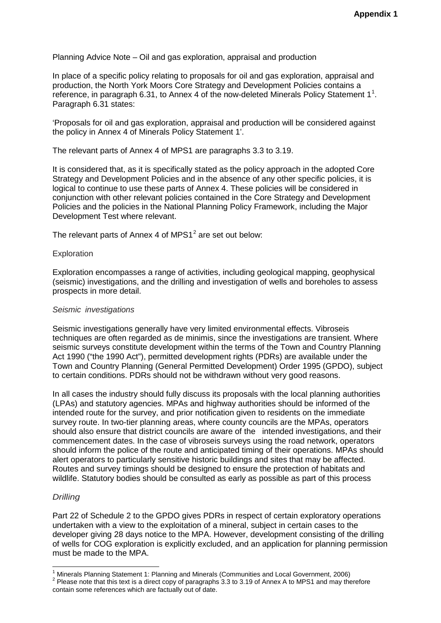Planning Advice Note – Oil and gas exploration, appraisal and production

In place of a specific policy relating to proposals for oil and gas exploration, appraisal and production, the North York Moors Core Strategy and Development Policies contains a reference, in paragraph 6.3[1](#page-6-0), to Annex 4 of the now-deleted Minerals Policy Statement  $1^1$ . Paragraph 6.31 states:

'Proposals for oil and gas exploration, appraisal and production will be considered against the policy in Annex 4 of Minerals Policy Statement 1'.

The relevant parts of Annex 4 of MPS1 are paragraphs 3.3 to 3.19.

It is considered that, as it is specifically stated as the policy approach in the adopted Core Strategy and Development Policies and in the absence of any other specific policies, it is logical to continue to use these parts of Annex 4. These policies will be considered in conjunction with other relevant policies contained in the Core Strategy and Development Policies and the policies in the National Planning Policy Framework, including the Major Development Test where relevant.

The relevant parts of Annex 4 of MPS1 $^2$  $^2$  are set out below:

### **Exploration**

Exploration encompasses a range of activities, including geological mapping, geophysical (seismic) investigations, and the drilling and investigation of wells and boreholes to assess prospects in more detail.

### *Seismic investigations*

Seismic investigations generally have very limited environmental effects. Vibroseis techniques are often regarded as de minimis, since the investigations are transient. Where seismic surveys constitute development within the terms of the Town and Country Planning Act 1990 ("the 1990 Act"), permitted development rights (PDRs) are available under the Town and Country Planning (General Permitted Development) Order 1995 (GPDO), subject to certain conditions. PDRs should not be withdrawn without very good reasons.

In all cases the industry should fully discuss its proposals with the local planning authorities (LPAs) and statutory agencies. MPAs and highway authorities should be informed of the intended route for the survey, and prior notification given to residents on the immediate survey route. In two-tier planning areas, where county councils are the MPAs, operators should also ensure that district councils are aware of the intended investigations, and their commencement dates. In the case of vibroseis surveys using the road network, operators should inform the police of the route and anticipated timing of their operations. MPAs should alert operators to particularly sensitive historic buildings and sites that may be affected. Routes and survey timings should be designed to ensure the protection of habitats and wildlife. Statutory bodies should be consulted as early as possible as part of this process

### *Drilling*

Part 22 of Schedule 2 to the GPDO gives PDRs in respect of certain exploratory operations undertaken with a view to the exploitation of a mineral, subject in certain cases to the developer giving 28 days notice to the MPA. However, development consisting of the drilling of wells for COG exploration is explicitly excluded, and an application for planning permission must be made to the MPA.

<span id="page-6-1"></span><span id="page-6-0"></span><sup>&</sup>lt;sup>1</sup> Minerals Planning Statement 1: Planning and Minerals (Communities and Local Government, 2006)<br><sup>2</sup> Please note that this text is a direct copy of paragraphs 3.3 to 3.19 of Annex A to MPS1 and may therefore contain some references which are factually out of date.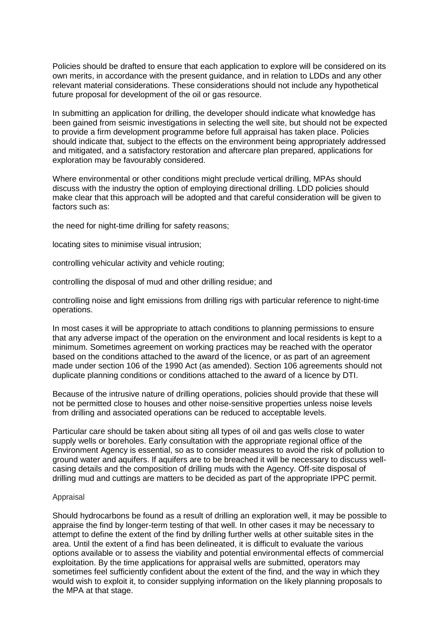Policies should be drafted to ensure that each application to explore will be considered on its own merits, in accordance with the present guidance, and in relation to LDDs and any other relevant material considerations. These considerations should not include any hypothetical future proposal for development of the oil or gas resource.

In submitting an application for drilling, the developer should indicate what knowledge has been gained from seismic investigations in selecting the well site, but should not be expected to provide a firm development programme before full appraisal has taken place. Policies should indicate that, subject to the effects on the environment being appropriately addressed and mitigated, and a satisfactory restoration and aftercare plan prepared, applications for exploration may be favourably considered.

Where environmental or other conditions might preclude vertical drilling, MPAs should discuss with the industry the option of employing directional drilling. LDD policies should make clear that this approach will be adopted and that careful consideration will be given to factors such as:

the need for night-time drilling for safety reasons;

locating sites to minimise visual intrusion;

controlling vehicular activity and vehicle routing;

controlling the disposal of mud and other drilling residue; and

controlling noise and light emissions from drilling rigs with particular reference to night-time operations.

In most cases it will be appropriate to attach conditions to planning permissions to ensure that any adverse impact of the operation on the environment and local residents is kept to a minimum. Sometimes agreement on working practices may be reached with the operator based on the conditions attached to the award of the licence, or as part of an agreement made under section 106 of the 1990 Act (as amended). Section 106 agreements should not duplicate planning conditions or conditions attached to the award of a licence by DTI.

Because of the intrusive nature of drilling operations, policies should provide that these will not be permitted close to houses and other noise-sensitive properties unless noise levels from drilling and associated operations can be reduced to acceptable levels.

Particular care should be taken about siting all types of oil and gas wells close to water supply wells or boreholes. Early consultation with the appropriate regional office of the Environment Agency is essential, so as to consider measures to avoid the risk of pollution to ground water and aquifers. If aquifers are to be breached it will be necessary to discuss wellcasing details and the composition of drilling muds with the Agency. Off-site disposal of drilling mud and cuttings are matters to be decided as part of the appropriate IPPC permit.

### Appraisal

Should hydrocarbons be found as a result of drilling an exploration well, it may be possible to appraise the find by longer-term testing of that well. In other cases it may be necessary to attempt to define the extent of the find by drilling further wells at other suitable sites in the area. Until the extent of a find has been delineated, it is difficult to evaluate the various options available or to assess the viability and potential environmental effects of commercial exploitation. By the time applications for appraisal wells are submitted, operators may sometimes feel sufficiently confident about the extent of the find, and the way in which they would wish to exploit it, to consider supplying information on the likely planning proposals to the MPA at that stage.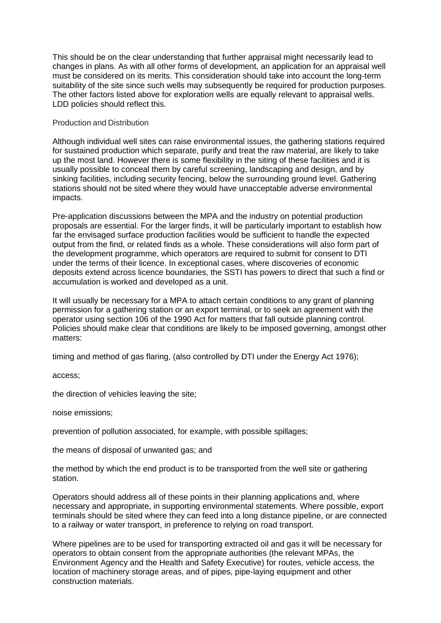This should be on the clear understanding that further appraisal might necessarily lead to changes in plans. As with all other forms of development, an application for an appraisal well must be considered on its merits. This consideration should take into account the long-term suitability of the site since such wells may subsequently be required for production purposes. The other factors listed above for exploration wells are equally relevant to appraisal wells. LDD policies should reflect this.

# Production and Distribution

Although individual well sites can raise environmental issues, the gathering stations required for sustained production which separate, purify and treat the raw material, are likely to take up the most land. However there is some flexibility in the siting of these facilities and it is usually possible to conceal them by careful screening, landscaping and design, and by sinking facilities, including security fencing, below the surrounding ground level. Gathering stations should not be sited where they would have unacceptable adverse environmental impacts.

Pre-application discussions between the MPA and the industry on potential production proposals are essential. For the larger finds, it will be particularly important to establish how far the envisaged surface production facilities would be sufficient to handle the expected output from the find, or related finds as a whole. These considerations will also form part of the development programme, which operators are required to submit for consent to DTI under the terms of their licence. In exceptional cases, where discoveries of economic deposits extend across licence boundaries, the SSTI has powers to direct that such a find or accumulation is worked and developed as a unit.

It will usually be necessary for a MPA to attach certain conditions to any grant of planning permission for a gathering station or an export terminal, or to seek an agreement with the operator using section 106 of the 1990 Act for matters that fall outside planning control. Policies should make clear that conditions are likely to be imposed governing, amongst other matters:

timing and method of gas flaring, (also controlled by DTI under the Energy Act 1976);

access;

the direction of vehicles leaving the site;

noise emissions;

prevention of pollution associated, for example, with possible spillages;

the means of disposal of unwanted gas; and

the method by which the end product is to be transported from the well site or gathering station.

Operators should address all of these points in their planning applications and, where necessary and appropriate, in supporting environmental statements. Where possible, export terminals should be sited where they can feed into a long distance pipeline, or are connected to a railway or water transport, in preference to relying on road transport.

Where pipelines are to be used for transporting extracted oil and gas it will be necessary for operators to obtain consent from the appropriate authorities (the relevant MPAs, the Environment Agency and the Health and Safety Executive) for routes, vehicle access, the location of machinery storage areas, and of pipes, pipe-laying equipment and other construction materials.